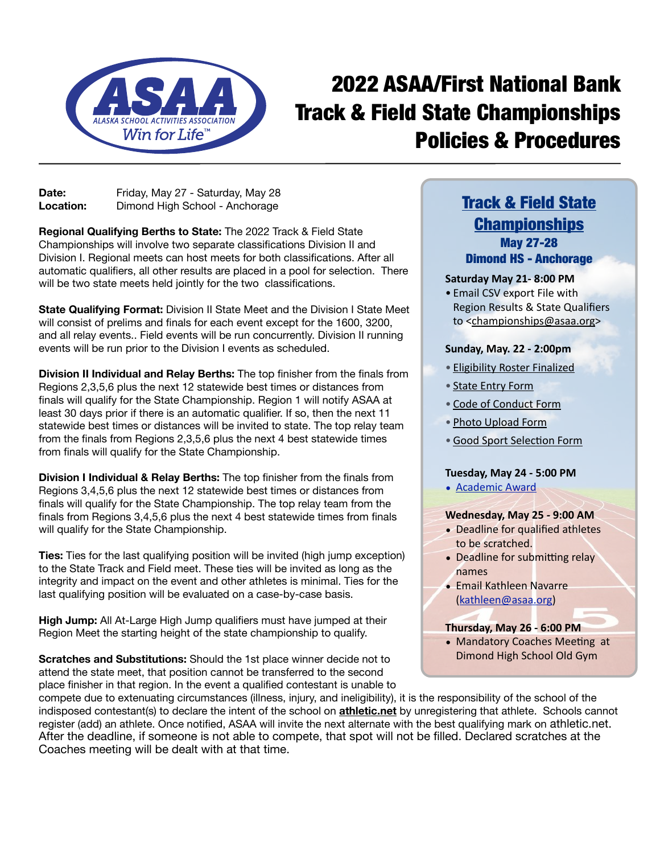

# 2022 ASAA/First National Bank Track & Field State Championships Policies & Procedures

Date: Friday, May 27 - Saturday, May 28 **Location:** Dimond High School - Anchorage

**Regional Qualifying Berths to State:** The 2022 Track & Field State Championships will involve two separate classifications Division II and Division I. Regional meets can host meets for both classifications. After all automatic qualifiers, all other results are placed in a pool for selection. There will be two state meets held jointly for the two classifications.

**State Qualifying Format:** Division II State Meet and the Division I State Meet will consist of prelims and finals for each event except for the 1600, 3200, and all relay events.. Field events will be run concurrently. Division II running events will be run prior to the Division I events as scheduled.

**Division II Individual and Relay Berths:** The top finisher from the finals from Regions 2,3,5,6 plus the next 12 statewide best times or distances from finals will qualify for the State Championship. Region 1 will notify ASAA at least 30 days prior if there is an automatic qualifier. If so, then the next 11 statewide best times or distances will be invited to state. The top relay team from the finals from Regions 2,3,5,6 plus the next 4 best statewide times from finals will qualify for the State Championship.

**Division I Individual & Relay Berths:** The top finisher from the finals from Regions 3,4,5,6 plus the next 12 statewide best times or distances from finals will qualify for the State Championship. The top relay team from the finals from Regions 3,4,5,6 plus the next 4 best statewide times from finals will qualify for the State Championship.

**Ties:** Ties for the last qualifying position will be invited (high jump exception) to the State Track and Field meet. These ties will be invited as long as the integrity and impact on the event and other athletes is minimal. Ties for the last qualifying position will be evaluated on a case-by-case basis.

**High Jump:** All At-Large High Jump qualifiers must have jumped at their Region Meet the starting height of the state championship to qualify.

**Scratches and Substitutions:** Should the 1st place winner decide not to attend the state meet, that position cannot be transferred to the second place finisher in that region. In the event a qualified contestant is unable to

## [Track & Field State](https://asaa.org/activities/track-field/)  **[Championships](https://asaa.org/activities/track-field/)** May 27-28 Dimond HS - Anchorage

## **Saturday May 21- 8:00 PM**

• Email CSV export File with Region Results & State Qualifiers to <[championships@asaa.org](mailto:championships@asaa.org?subject=)>

## **Sunday, May. 22 - 2:00pm**

- [Eligibility Roster Finalized](https://www.arbiterathlete.com)
- [State Entry Form](http://asaa.org/handbook-forms/online-forms/state-championship-entry-form/)
- [Code of Conduct Form](http://asaa.org/handbook-forms/online-forms/state-championship-code-of-conduct/)
- [Photo Upload Form](http://asaa.org/handbook-forms/online-forms/state-championship-photo-upload-form/)
- •[Good Sport Selection Form](http://asaa.org/handbook-forms/online-forms/good-sport-selection-form/)

## **Tuesday, May 24 - 5:00 PM**

• [Academic Award](http://asaa.org/handbook-forms/online-forms/academic-award-entry-form/)

## **Wednesday, May 25 - 9:00 AM**

- Deadline for qualified athletes to be scratched.
- Deadline for submitting relay names
- Email Kathleen Navarre [\(kathleen@asaa.org](mailto:schreck@asaa.org?subject=))

## **Thursday, May 26 - 6:00 PM**

• Mandatory Coaches Meeting at Dimond High School Old Gym

compete due to extenuating circumstances (illness, injury, and ineligibility), it is the responsibility of the school of the indisposed contestant(s) to declare the intent of the school on **[athletic.net](http://athletic.net)** by unregistering that athlete. Schools cannot register (add) an athlete. Once notified, ASAA will invite the next alternate with the best qualifying mark on athletic.net. After the deadline, if someone is not able to compete, that spot will not be filled. Declared scratches at the Coaches meeting will be dealt with at that time.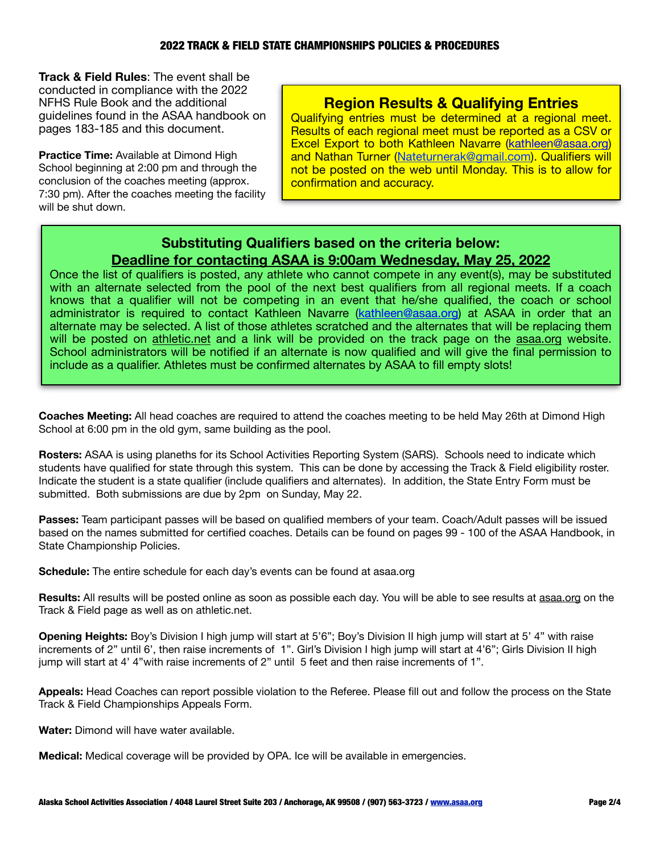**Track & Field Rules**: The event shall be conducted in compliance with the 2022 NFHS Rule Book and the additional guidelines found in the ASAA handbook on pages 183-185 and this document.

**Practice Time:** Available at Dimond High School beginning at 2:00 pm and through the conclusion of the coaches meeting (approx. 7:30 pm). After the coaches meeting the facility will be shut down.

## **Region Results & Qualifying Entries**

Qualifying entries must be determined at a regional meet. Results of each regional meet must be reported as a CSV or Excel Export to both Kathleen Navarre [\(kathleen@asaa.org\)](mailto:schreck@asaa.org?subject=) and Nathan Turner ([Nateturnerak@gmail.com\)](mailto:Nateturnerak@gmail.com). Qualifiers will not be posted on the web until Monday. This is to allow for confirmation and accuracy.

## **Substituting Qualifiers based on the criteria below: Deadline for contacting ASAA is 9:00am Wednesday, May 25, 2022**

Once the list of qualifiers is posted, any athlete who cannot compete in any event(s), may be substituted with an alternate selected from the pool of the next best qualifiers from all regional meets. If a coach knows that a qualifier will not be competing in an event that he/she qualified, the coach or school administrator is required to contact Kathleen Navarre ([kathleen@asaa.org](mailto:schreck@asaa.org?subject=)) at ASAA in order that an alternate may be selected. A list of those athletes scratched and the alternates that will be replacing them will be posted on [athletic.net](http://athletic.net) and a link will be provided on the track page on the [asaa.org](http://asaa.org) website. School administrators will be notified if an alternate is now qualified and will give the final permission to include as a qualifier. Athletes must be confirmed alternates by ASAA to fill empty slots!

**Coaches Meeting:** All head coaches are required to attend the coaches meeting to be held May 26th at Dimond High School at 6:00 pm in the old gym, same building as the pool.

**Rosters:** ASAA is using planeths for its School Activities Reporting System (SARS). Schools need to indicate which students have qualified for state through this system. This can be done by accessing the Track & Field eligibility roster. Indicate the student is a state qualifier (include qualifiers and alternates). In addition, the State Entry Form must be submitted. Both submissions are due by 2pm on Sunday, May 22.

**Passes:** Team participant passes will be based on qualified members of your team. Coach/Adult passes will be issued based on the names submitted for certified coaches. Details can be found on pages 99 - 100 of the ASAA Handbook, in State Championship Policies.

**Schedule:** The entire schedule for each day's events can be found at asaa.org

**Results:** All results will be posted online as soon as possible each day. You will be able to see results at [asaa.org](http://asaa.org) on the Track & Field page as well as on athletic.net.

**Opening Heights:** Boy's Division I high jump will start at 5'6"; Boy's Division II high jump will start at 5' 4" with raise increments of 2" until 6', then raise increments of 1". Girl's Division I high jump will start at 4'6"; Girls Division II high jump will start at 4' 4"with raise increments of 2" until 5 feet and then raise increments of 1".

**Appeals:** Head Coaches can report possible violation to the Referee. Please fill out and follow the process on the State Track & Field Championships Appeals Form.

**Water:** Dimond will have water available.

**Medical:** Medical coverage will be provided by OPA. Ice will be available in emergencies.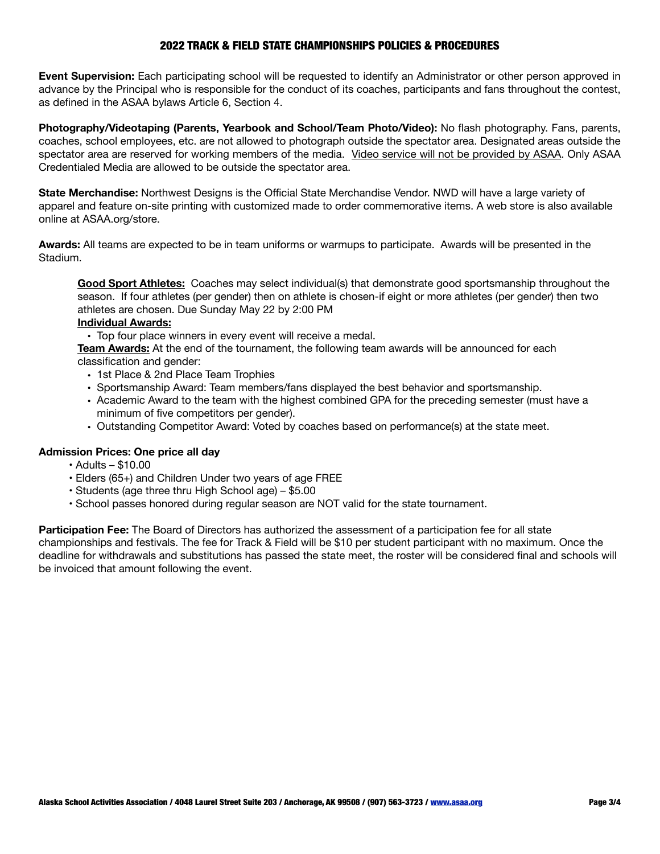## 2022 TRACK & FIELD STATE CHAMPIONSHIPS POLICIES & PROCEDURES

**Event Supervision:** Each participating school will be requested to identify an Administrator or other person approved in advance by the Principal who is responsible for the conduct of its coaches, participants and fans throughout the contest, as defined in the ASAA bylaws Article 6, Section 4.

**Photography/Videotaping (Parents, Yearbook and School/Team Photo/Video):** No flash photography. Fans, parents, coaches, school employees, etc. are not allowed to photograph outside the spectator area. Designated areas outside the spectator area are reserved for working members of the media. Video service will not be provided by ASAA. Only ASAA Credentialed Media are allowed to be outside the spectator area.

**State Merchandise:** Northwest Designs is the Official State Merchandise Vendor. NWD will have a large variety of apparel and feature on-site printing with customized made to order commemorative items. A web store is also available online at ASAA.org/store.

**Awards:** All teams are expected to be in team uniforms or warmups to participate. Awards will be presented in the Stadium.

**Good Sport Athletes:** Coaches may select individual(s) that demonstrate good sportsmanship throughout the season. If four athletes (per gender) then on athlete is chosen-if eight or more athletes (per gender) then two athletes are chosen. Due Sunday May 22 by 2:00 PM

#### **Individual Awards:**

• Top four place winners in every event will receive a medal. 

**Team Awards:** At the end of the tournament, the following team awards will be announced for each classification and gender:

- 1st Place & 2nd Place Team Trophies
- Sportsmanship Award: Team members/fans displayed the best behavior and sportsmanship.
- Academic Award to the team with the highest combined GPA for the preceding semester (must have a minimum of five competitors per gender).
- Outstanding Competitor Award: Voted by coaches based on performance(s) at the state meet.

## **Admission Prices: One price all day**

- Adults \$10.00
- Elders (65+) and Children Under two years of age FREE
- Students (age three thru High School age) \$5.00
- School passes honored during regular season are NOT valid for the state tournament.

**Participation Fee:** The Board of Directors has authorized the assessment of a participation fee for all state championships and festivals. The fee for Track & Field will be \$10 per student participant with no maximum. Once the deadline for withdrawals and substitutions has passed the state meet, the roster will be considered final and schools will be invoiced that amount following the event.